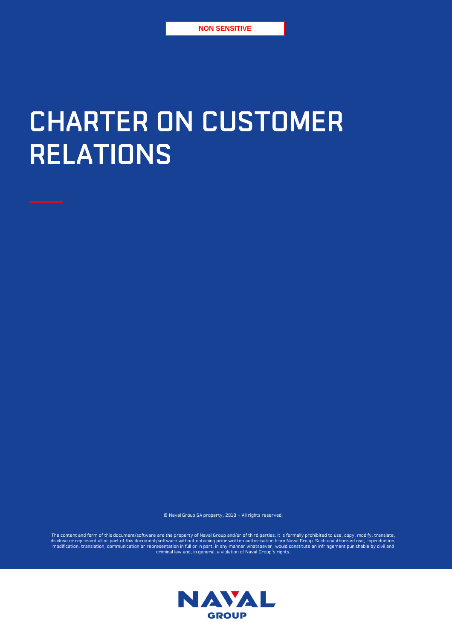# CHARTER ON CUSTOMER RELATIONS

© Naval Group SA property, 2018 – All rights reserved.

The content and form of this document/software are the property of Naval Group and/or of third parties. It is formally prohibited to use, copy, modify, translate,<br>disclose or represent all or part of this document/software

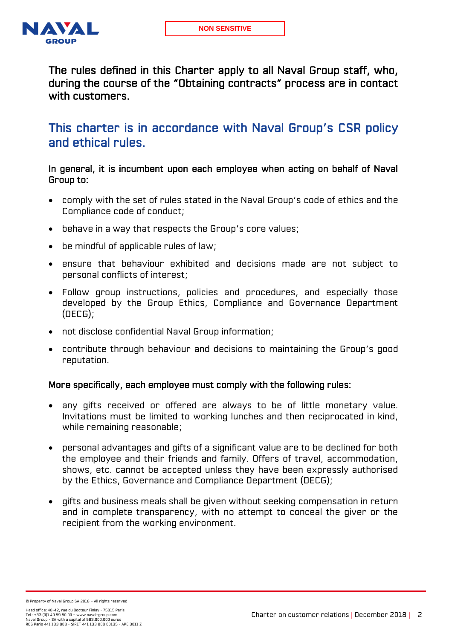

The rules defined in this Charter apply to all Naval Group staff, who, during the course of the "Obtaining contracts" process are in contact with customers.

This charter is in accordance with Naval Group's CSR policy and ethical rules.

## In general, it is incumbent upon each employee when acting on behalf of Naval Group to:

- comply with the set of rules stated in the Naval Group's code of ethics and the Compliance code of conduct;
- behave in a way that respects the Group's core values;
- be mindful of applicable rules of law;
- ensure that behaviour exhibited and decisions made are not subject to personal conflicts of interest;
- Follow group instructions, policies and procedures, and especially those developed by the Group Ethics, Compliance and Governance Department (DECG);
- not disclose confidential Naval Group information;
- contribute through behaviour and decisions to maintaining the Group's good reputation.

#### More specifically, each employee must comply with the following rules:

- any gifts received or offered are always to be of little monetary value. Invitations must be limited to working lunches and then reciprocated in kind, while remaining reasonable;
- personal advantages and gifts of a significant value are to be declined for both the employee and their friends and family. Offers of travel, accommodation, shows, etc. cannot be accepted unless they have been expressly authorised by the Ethics, Governance and Compliance Department (DECG);
- gifts and business meals shall be given without seeking compensation in return and in complete transparency, with no attempt to conceal the giver or the recipient from the working environment.

© Property of Naval Group SA 2018 – All rights reserved